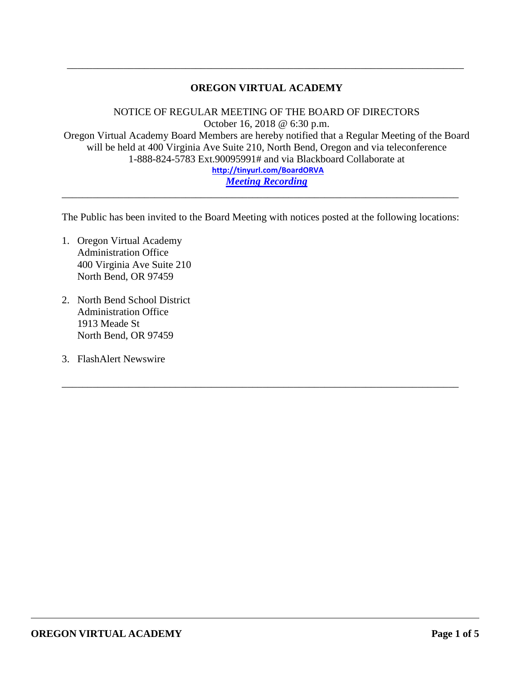## **OREGON VIRTUAL ACADEMY**

\_\_\_\_\_\_\_\_\_\_\_\_\_\_\_\_\_\_\_\_\_\_\_\_\_\_\_\_\_\_\_\_\_\_\_\_\_\_\_\_\_\_\_\_\_\_\_\_\_\_\_\_\_\_\_\_\_\_\_\_\_\_\_\_\_\_\_\_\_\_\_\_\_\_\_\_\_

NOTICE OF REGULAR MEETING OF THE BOARD OF DIRECTORS October 16, 2018 @ 6:30 p.m. Oregon Virtual Academy Board Members are hereby notified that a Regular Meeting of the Board will be held at 400 Virginia Ave Suite 210, North Bend, Oregon and via teleconference 1-888-824-5783 Ext.90095991# and via Blackboard Collaborate at **<http://tinyurl.com/BoardORVA>** *[Meeting Recording](https://sas.elluminate.com/site/external/launch/nativeplayback.jnlp?sid=559&psid=2018-10-16.1911.M.4BD84C2E38819C8D07E06941AC5558.vcr)*

The Public has been invited to the Board Meeting with notices posted at the following locations:

\_\_\_\_\_\_\_\_\_\_\_\_\_\_\_\_\_\_\_\_\_\_\_\_\_\_\_\_\_\_\_\_\_\_\_\_\_\_\_\_\_\_\_\_\_\_\_\_\_\_\_\_\_\_\_\_\_\_\_\_\_\_\_\_\_\_\_\_\_\_\_\_\_\_\_\_\_

\_\_\_\_\_\_\_\_\_\_\_\_\_\_\_\_\_\_\_\_\_\_\_\_\_\_\_\_\_\_\_\_\_\_\_\_\_\_\_\_\_\_\_\_\_\_\_\_\_\_\_\_\_\_\_\_\_\_\_\_\_\_\_\_\_\_\_\_\_\_\_\_\_\_\_\_\_

- 1. Oregon Virtual Academy Administration Office 400 Virginia Ave Suite 210 North Bend, OR 97459
- 2. North Bend School District Administration Office 1913 Meade St North Bend, OR 97459
- 3. FlashAlert Newswire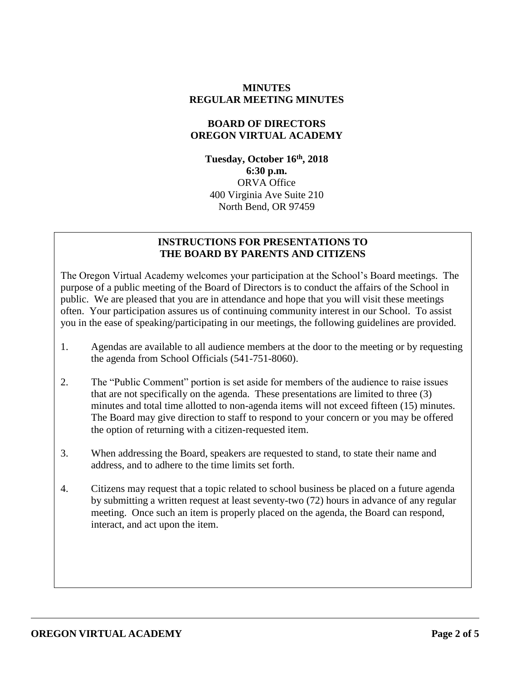## **MINUTES REGULAR MEETING MINUTES**

# **BOARD OF DIRECTORS OREGON VIRTUAL ACADEMY**

**Tuesday, October 16 th , 2018 6:30 p.m.** ORVA Office 400 Virginia Ave Suite 210 North Bend, OR 97459

## **INSTRUCTIONS FOR PRESENTATIONS TO THE BOARD BY PARENTS AND CITIZENS**

The Oregon Virtual Academy welcomes your participation at the School's Board meetings. The purpose of a public meeting of the Board of Directors is to conduct the affairs of the School in public. We are pleased that you are in attendance and hope that you will visit these meetings often. Your participation assures us of continuing community interest in our School. To assist you in the ease of speaking/participating in our meetings, the following guidelines are provided.

- 1. Agendas are available to all audience members at the door to the meeting or by requesting the agenda from School Officials (541-751-8060).
- 2. The "Public Comment" portion is set aside for members of the audience to raise issues that are not specifically on the agenda. These presentations are limited to three (3) minutes and total time allotted to non-agenda items will not exceed fifteen (15) minutes. The Board may give direction to staff to respond to your concern or you may be offered the option of returning with a citizen-requested item.
- 3. When addressing the Board, speakers are requested to stand, to state their name and address, and to adhere to the time limits set forth.
- 4. Citizens may request that a topic related to school business be placed on a future agenda by submitting a written request at least seventy-two (72) hours in advance of any regular meeting. Once such an item is properly placed on the agenda, the Board can respond, interact, and act upon the item.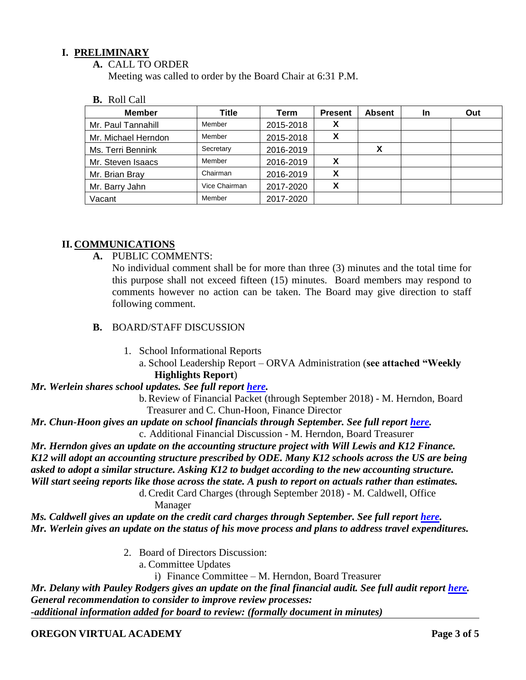## **I. PRELIMINARY**

**A.** CALL TO ORDER

Meeting was called to order by the Board Chair at 6:31 P.M.

**B.** Roll Call

| <b>Member</b>       | Title         | Term      | <b>Present</b> | <b>Absent</b> | <b>In</b> | Out |
|---------------------|---------------|-----------|----------------|---------------|-----------|-----|
| Mr. Paul Tannahill  | Member        | 2015-2018 | X              |               |           |     |
| Mr. Michael Herndon | Member        | 2015-2018 | χ              |               |           |     |
| Ms. Terri Bennink   | Secretary     | 2016-2019 |                | х             |           |     |
| Mr. Steven Isaacs   | Member        | 2016-2019 | х              |               |           |     |
| Mr. Brian Bray      | Chairman      | 2016-2019 | х              |               |           |     |
| Mr. Barry Jahn      | Vice Chairman | 2017-2020 | X              |               |           |     |
| Vacant              | Member        | 2017-2020 |                |               |           |     |

## **II. COMMUNICATIONS**

**A.** PUBLIC COMMENTS:

No individual comment shall be for more than three (3) minutes and the total time for this purpose shall not exceed fifteen (15) minutes. Board members may respond to comments however no action can be taken. The Board may give direction to staff following comment.

- **B.** BOARD/STAFF DISCUSSION
	- 1. School Informational Reports

a. School Leadership Report – ORVA Administration (**see attached "Weekly Highlights Report**)

#### *Mr. Werlein shares school updates. See full report [here.](https://k12inc-my.sharepoint.com/:b:/g/personal/mecaldwell_oregonva_org/ERLe51GpxUNOge9kp2X4vNcBF5vahXJkFEU9S7XmSPpJhg?e=e3DzjD)*

b.Review of Financial Packet (through September 2018) - M. Herndon, Board Treasurer and C. Chun-Hoon, Finance Director

*Mr. Chun-Hoon gives an update on school financials through September. See full report [here.](https://k12inc-my.sharepoint.com/:p:/g/personal/mecaldwell_oregonva_org/EWATm6CmEylPiYkY0nmP1NMBtEr4ItMWAujkCbnS8t3HOA?e=UTyoLX)* c. Additional Financial Discussion - M. Herndon, Board Treasurer

*Mr. Herndon gives an update on the accounting structure project with Will Lewis and K12 Finance. K12 will adopt an accounting structure prescribed by ODE. Many K12 schools across the US are being asked to adopt a similar structure. Asking K12 to budget according to the new accounting structure. Will start seeing reports like those across the state. A push to report on actuals rather than estimates.*  d.Credit Card Charges (through September 2018) - M. Caldwell, Office

Manager

*Ms. Caldwell gives an update on the credit card charges through September. See full report [here.](https://k12inc-my.sharepoint.com/:p:/g/personal/mecaldwell_oregonva_org/Eb1cIFYyHcVPuOI3MuJQUkABQ3oAwC-C62urbsD4CuALQg?e=QNaJ6w) Mr. Werlein gives an update on the status of his move process and plans to address travel expenditures.* 

- 2. Board of Directors Discussion:
	- a. Committee Updates
		- i) Finance Committee M. Herndon, Board Treasurer

*Mr. Delany with Pauley Rodgers gives an update on the final financial audit. See full audit report [here.](https://k12inc-my.sharepoint.com/:b:/g/personal/mecaldwell_oregonva_org/ER2CYL7EbvdAlDnnY2NGZOMBG8xn_cnEZeAgY9R9sP33Ng?e=3l2SIB) General recommendation to consider to improve review processes: -additional information added for board to review: (formally document in minutes)*

#### **OREGON VIRTUAL ACADEMY Page 3 of 5**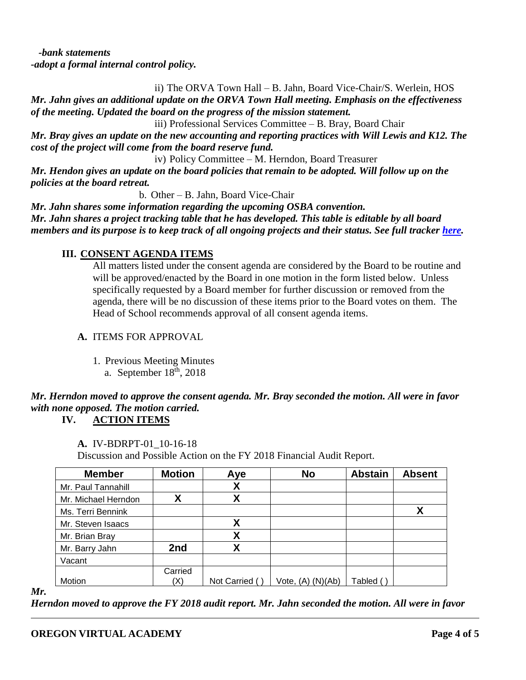*-bank statements -adopt a formal internal control policy.* 

ii) The ORVA Town Hall – B. Jahn, Board Vice-Chair/S. Werlein, HOS

*Mr. Jahn gives an additional update on the ORVA Town Hall meeting. Emphasis on the effectiveness of the meeting. Updated the board on the progress of the mission statement.* 

iii) Professional Services Committee – B. Bray, Board Chair

*Mr. Bray gives an update on the new accounting and reporting practices with Will Lewis and K12. The cost of the project will come from the board reserve fund.* 

iv) Policy Committee – M. Herndon, Board Treasurer

*Mr. Hendon gives an update on the board policies that remain to be adopted. Will follow up on the policies at the board retreat.* 

b. Other – B. Jahn, Board Vice-Chair

*Mr. Jahn shares some information regarding the upcoming OSBA convention. Mr. Jahn shares a project tracking table that he has developed. This table is editable by all board members and its purpose is to keep track of all ongoing projects and their status. See full tracker [here.](https://k12inc-my.sharepoint.com/:b:/g/personal/mecaldwell_oregonva_org/Eese4iq1b8FAtbvknbcvEWcB8TA6QlTfVfMHr5Sr3GoOsw?e=Y9coI5)* 

# **III. CONSENT AGENDA ITEMS**

All matters listed under the consent agenda are considered by the Board to be routine and will be approved/enacted by the Board in one motion in the form listed below. Unless specifically requested by a Board member for further discussion or removed from the agenda, there will be no discussion of these items prior to the Board votes on them. The Head of School recommends approval of all consent agenda items.

# **A.** ITEMS FOR APPROVAL

1. Previous Meeting Minutes

a. September  $18<sup>th</sup>$ , 2018

# *Mr. Herndon moved to approve the consent agenda. Mr. Bray seconded the motion. All were in favor with none opposed. The motion carried.*

**IV. ACTION ITEMS**

**A.** IV-BDRPT-01\_10-16-18

Discussion and Possible Action on the FY 2018 Financial Audit Report.

| <b>Member</b>       | <b>Motion</b> | Aye           | <b>No</b>         | <b>Abstain</b> | <b>Absent</b> |
|---------------------|---------------|---------------|-------------------|----------------|---------------|
| Mr. Paul Tannahill  |               | χ             |                   |                |               |
| Mr. Michael Herndon |               | χ             |                   |                |               |
| Ms. Terri Bennink   |               |               |                   |                |               |
| Mr. Steven Isaacs   |               | χ             |                   |                |               |
| Mr. Brian Bray      |               | χ             |                   |                |               |
| Mr. Barry Jahn      | 2nd           | χ             |                   |                |               |
| Vacant              |               |               |                   |                |               |
|                     | Carried       |               |                   |                |               |
| Motion              | (X)           | Not Carried ( | Vote, (A) (N)(Ab) | Tabled (`      |               |

*Mr.* 

*Herndon moved to approve the FY 2018 audit report. Mr. Jahn seconded the motion. All were in favor*